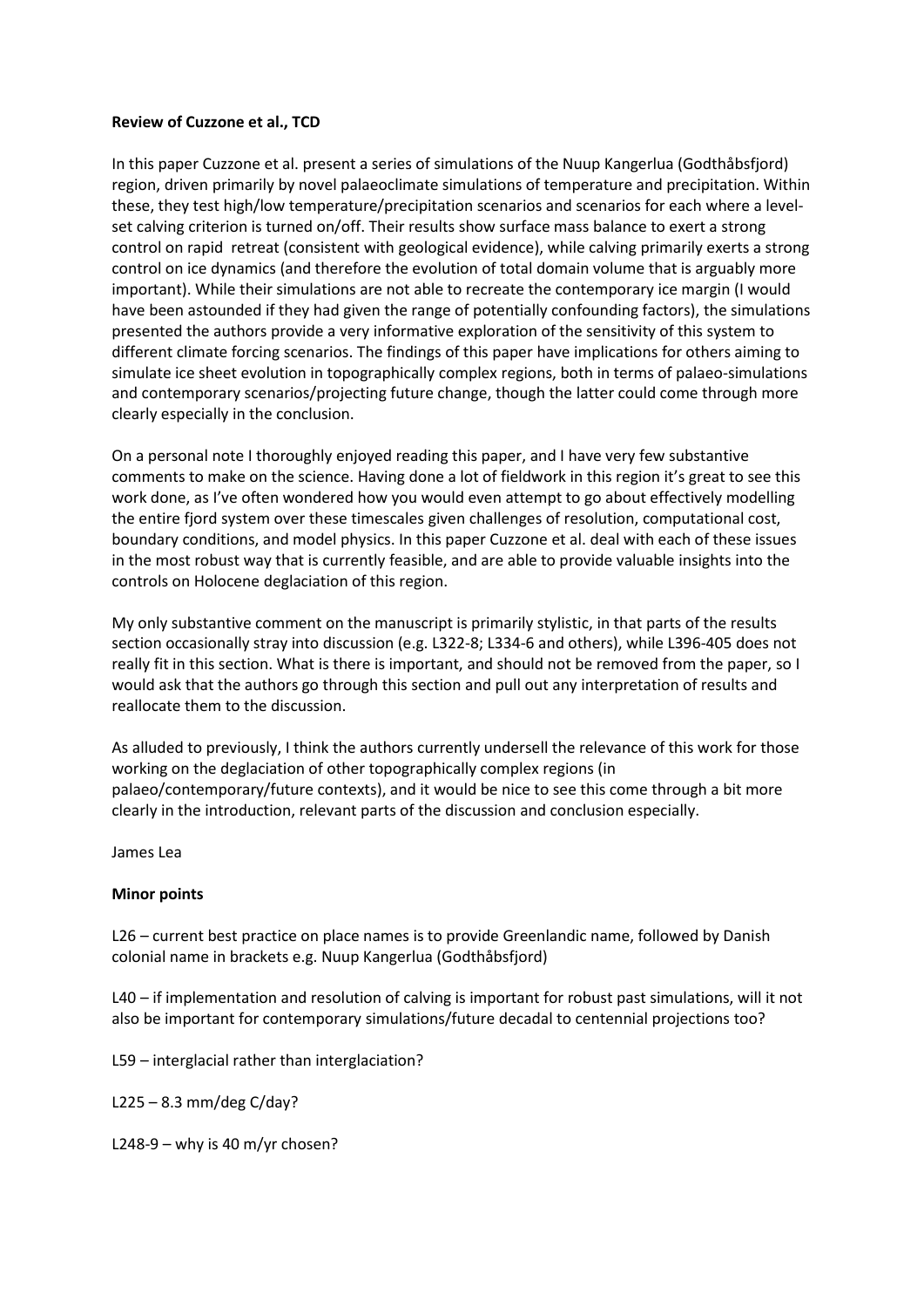## **Review of Cuzzone et al., TCD**

In this paper Cuzzone et al. present a series of simulations of the Nuup Kangerlua (Godthåbsfjord) region, driven primarily by novel palaeoclimate simulations of temperature and precipitation. Within these, they test high/low temperature/precipitation scenarios and scenarios for each where a levelset calving criterion is turned on/off. Their results show surface mass balance to exert a strong control on rapid retreat (consistent with geological evidence), while calving primarily exerts a strong control on ice dynamics (and therefore the evolution of total domain volume that is arguably more important). While their simulations are not able to recreate the contemporary ice margin (I would have been astounded if they had given the range of potentially confounding factors), the simulations presented the authors provide a very informative exploration of the sensitivity of this system to different climate forcing scenarios. The findings of this paper have implications for others aiming to simulate ice sheet evolution in topographically complex regions, both in terms of palaeo-simulations and contemporary scenarios/projecting future change, though the latter could come through more clearly especially in the conclusion.

On a personal note I thoroughly enjoyed reading this paper, and I have very few substantive comments to make on the science. Having done a lot of fieldwork in this region it's great to see this work done, as I've often wondered how you would even attempt to go about effectively modelling the entire fjord system over these timescales given challenges of resolution, computational cost, boundary conditions, and model physics. In this paper Cuzzone et al. deal with each of these issues in the most robust way that is currently feasible, and are able to provide valuable insights into the controls on Holocene deglaciation of this region.

My only substantive comment on the manuscript is primarily stylistic, in that parts of the results section occasionally stray into discussion (e.g. L322-8; L334-6 and others), while L396-405 does not really fit in this section. What is there is important, and should not be removed from the paper, so I would ask that the authors go through this section and pull out any interpretation of results and reallocate them to the discussion.

As alluded to previously, I think the authors currently undersell the relevance of this work for those working on the deglaciation of other topographically complex regions (in palaeo/contemporary/future contexts), and it would be nice to see this come through a bit more clearly in the introduction, relevant parts of the discussion and conclusion especially.

James Lea

## **Minor points**

L26 – current best practice on place names is to provide Greenlandic name, followed by Danish colonial name in brackets e.g. Nuup Kangerlua (Godthåbsfjord)

L40 – if implementation and resolution of calving is important for robust past simulations, will it not also be important for contemporary simulations/future decadal to centennial projections too?

L59 – interglacial rather than interglaciation?

L225 – 8.3 mm/deg C/day?

L248-9 – why is 40 m/yr chosen?